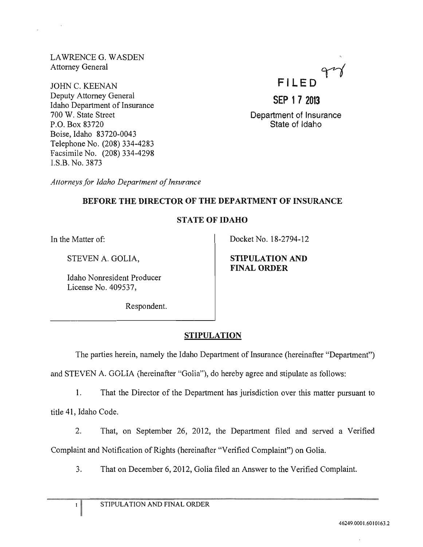LAWRENCEG. WASDEN Attorney General

JOHN C. KEENAN **FILED SEP 1 7 2013** Deputy Attorney General Idaho Department of Insurance 700 W. State Street P.O. Box 83720 Boise, Idaho 83720-0043 Telephone No. (208) 334-4283 Facsimile No. (208) 334-4298 I.S.B. No. 3873



Department of Insurance State of Idaho

*Attorneys/or Idaho Department of Insurance* 

# BEFORE THE DIRECTOR OF THE DEPARTMENT OF INSURANCE

# STATE OF IDAHO

In the Matter of:

STEVEN A. GOLIA,

Idaho Nonresident Producer License No. 409537,

Docket No. 18-2794-12

STIPULATION AND FINAL ORDER

Respondent.

# STIPULATION

The parties herein, namely the Idaho Department of Insurance (hereinafter "Department") and STEVEN A. GOLIA (hereinafter "Golia"), do hereby agree and stipuiate as follows:

1. That the Director of the Department has jurisdiction over this matter pursuant to

title 41, Idaho Code.

 $\mathbf I$ 

2. That, on September 26, 2012, the Department filed and served a Verified Complaint and Notification of Rights (hereinafter "Verified Complaint") on Golia.

3. That on December 6, 2012, Golia filed an Answer to the Verified Complaint.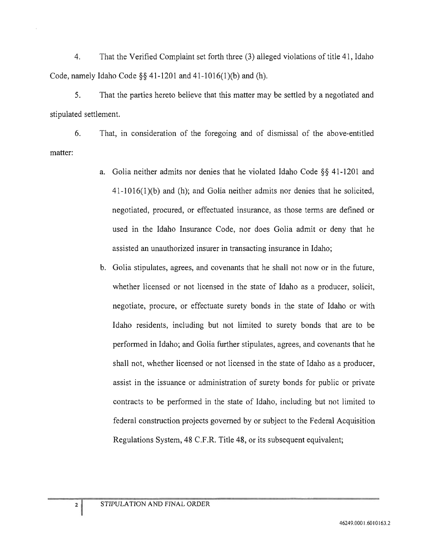4. That the Verified Complaint set forth three (3) alleged violations of title 41, Idaho Code, namely Idaho Code §§ 41-1201 and 41-1016(1)(b) and (h).

5. That the parties hereto believe that this matter may be settled by a negotiated and stipulated settlement.

matter: 6. That, in consideration of the foregoing and of dismissal of the above-entitled

- a. Golia neither admits nor denies that he violated Idaho Code §§ 41-1201 and 41-1016(1 )(b) and (h); and Golia neither admits nor denies that he solicited, negotiated, procured, or effectuated insurance, as those terms are defined or used in the Idaho Insurance Code, nor does Golia admit or deny that he assisted an unauthorized insurer in transacting insurance in Idaho;
- b. Golia stipulates, agrees, and covenants that he shall not now or in the future, whether licensed or not licensed in the state of Idaho as a producer, solicit, negotiate, procure, or effectuate surety bonds in the state of Idaho or with Idaho residents, including but not limited to surety bonds that are to be performed in Idaho; and Golia further stipulates, agrees, and covenants that he shall not, whether licensed or not licensed in the state of Idaho as a producer, assist in the issuance or administration of surety bonds for public or private contracts to be performed in the state of Idaho, including but not limited to federal construction projects governed by or subject to the Federal Acquisition Regulations System, 48 C.F.R. Title 48, or its subsequent equivalent;

 $2|$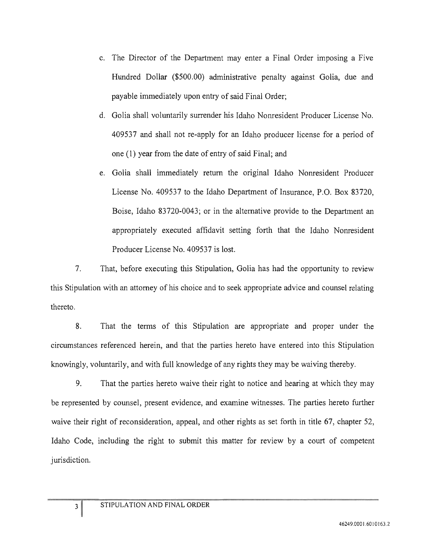- c. The Director of the Department may enter a Final Order imposing a Five Hundred Dollar (\$500.00) administrative penalty against Golia, due and payable immediately upon entry of said Final Order;
- d. Golia shall voluntarily surrender his Idaho Nonresident Producer License No. 409537 and shall not re-apply for an Idaho producer license for a period of one (1) year from the date of entry of said Final; and
- e. Golia shall immediately return the original Idaho Nonresident Producer License No. 409537 to the Idaho Department of Insurance, P.O. Box 83720, Boise, Idaho 83720-0043; or in the alternative provide to the Department an appropriately executed affidavit setting forth that the Idaho Nonresident Producer License No. 409537 is lost.

7. That, before executing this Stipulation, Golia has had the opportunity to review this Stipulation with an attorney of his choice and to seek appropriate advice and counsel relating thereto.

8. That the terms of this Stipulation are appropriate and proper under the circumstances referenced herein, and that the parties hereto have entered into this Stipulation knowingly, voluntarily, and with full knowledge of any rights they may be waiving thereby.

9. That the parties hereto waive their right to notice and hearing at which they may be represented by counsel, present evidence, and examine witnesses. The parties hereto further waive their right of reconsideration, appeal, and other rights as set forth in title 67, chapter 52, Idaho Code, including the right to submit this matter for review by a court of competent jurisdiction.

 $\overline{\mathbf{3}}$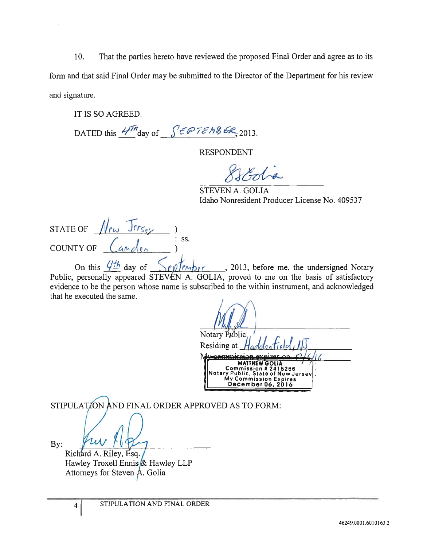10. That the parties hereto have reviewed the proposed Final Order and agree as to its form and that said Final Order may be submitted to the Director of the Department for his review and signature.

IT IS SO AGREED.

DATED this  $4\pi$ <sup>th</sup>day of  $\int \epsilon \cdot \epsilon \cdot \epsilon h \cdot \epsilon \cdot \epsilon_{\text{R}}$ , 2013.

RESPONDENT

Estodia

STEVEN A. GOLIA Idaho Nonresident Producer License No. 409537

STATE OF COUNTY OF

On this  $\frac{\sqrt{16}}{2}$  day of  $\sqrt{\frac{1}{2}}$  r  $\sqrt{\frac{1}{2}}$  r , 2013, before me, the undersigned Notary Public, personally appeared STEVEN A. GOLIA, proved to me on the basis of satisfactory evidence to be the person whose name is subscribed to the within instrument, and acknowledged that he executed the same.

Notary Public Residing at **MATTHEW GOLIA**<br>**mmission # 2415266** Public. State of New Jersey My Commission Expires . **December** 06, **2016** 

STIPULATION AND FINAL ORDER APPROVED AS TO FORM:

 $\overline{\mathbf{4}}$ 

 $By:$  fur  $HQ$ Richard A. Riley, Esq. Hawley Troxell Ennis & Hawley LLP Attorneys for Steven A. Golia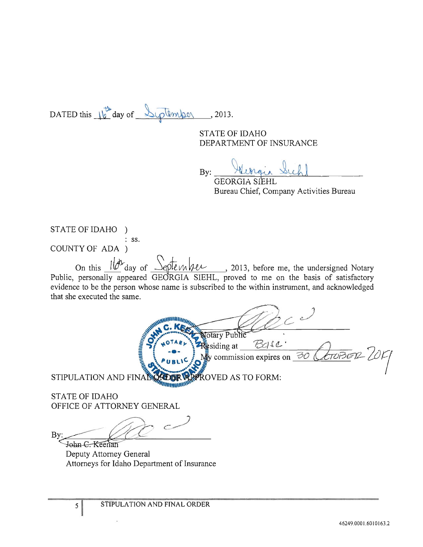DATED this  $16^{\frac{1}{2}}$  day of Syptember , 2013.

STATE OF IDAHO DEPARTMENT OF INSURANCE

By: Flinger

Bureau Chief, Company Activities Bureau

STATE OF IDAHO ) : ss, COUNTY OF ADA )

On this *lov* day of Septenher, 2013, before me, the undersigned Notary Public, personally appeared GEORGIA SIEHL, proved to me on the basis of satisfactory evidence to be the person whose name is subscribed to the within instrument, and acknowledged that she executed the same,

 $\mathbf{v}$ 

 $\mathbf{v} = \mathbf{v} \cdot \mathbf{v}$ **WAN C. REGALACTORY Public COMPUTER OF STATE OF STATE OF STATE OF STATE OF STATE OF STATE OF STATE OF STATE OF STATE OF STATE OF STATE OF STATE OF STATE OF STATE OF STATE OF STATE OF STATE OF STATE OF STATE OF STATE OF STA f9l ...** *<sup>0</sup> TA Il,..····.* ~ 'd' ~-}"/I • § <sup>I</sup>[ <sup>~</sup>**-e-** \ = SI mg at *\_\_* --=-r.:...v-=--~\_~ \_\_\_ ---c-LL~+\_ *\_\_\_ -*  $\frac{1}{2}$   $\binom{10^{TAR} \times 10^{TAR}}{100}$   $\frac{1}{2}$  esiding at  $\frac{100000 \times 10^{T} \text{ C}}{1000}$   $\frac{100000 \times 10^{T} \text{ C}}{1000}$   $\frac{100000 \times 10^{T} \text{ C}}{1000}$ STIPULATION AND FINAL CALDER WAT ROVED AS TO FORM:

STATE OF IDAHO OFFICE OF ATTORNEY GENERAL

 $5<sup>1</sup>$ 

TIPULATION AND FINAL TOOR TO NOVED AS TO

Deputy Attorney General Attorneys for Idaho Department of Insurance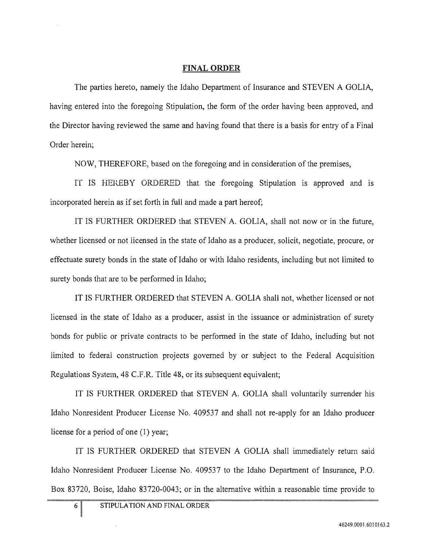#### FINAL ORDER

The parties hereto, namely the Idaho Department of Insurance and STEVEN A GOLIA, having entered into the foregoing Stipulation, the form of the order having been approved, and the Director having reviewed the same and having found that there is a basis for entry of a Final Order herein;

NOW, THEREFORE, based on the foregoing and in consideration of the premises,

IT IS HEREBY ORDERED that the foregoing Stipulation is approved and is incorporated herein as if set forth in full and made a part hereof;

IT IS FURTHER ORDERED that STEVEN A. GOLIA, shall not now or in the future, whether licensed or not licensed in the state of Idaho as a producer, solicit, negotiate, procure, or effectuate surety bonds in the state of Idaho or with Idaho residents, including but not limited to surety bonds that are to be performed in Idaho;

IT IS FURTHER ORDERED that STEVEN A. GOLIA shall not, whether licensed or not licensed in the state of Idaho as a producer, assist in the issuance or administration of surety bonds for public or private contracts to be performed in the state of Idaho, including but not limited to federal construction projects governed by or subject to the Federal Acquisition Regulations System, 48 C.F.R. Title 48, or its subsequent equivalent;

IT IS FURTHER ORDERED that STEVEN A. GOLIA shall voluntarily surrender his Idaho Nonresident Producer License No. 409537 and shall not re-apply for an Idaho producer license for a period of one (1) year;

IT IS FURTHER ORDERED that STEVEN A GOLIA shall immediately return said Idaho Nonresident Producer License No. 409537 to the Idaho Department of Insurance, P.O. Box 83720, Boise, Idaho 83720-0043; or in the alternative within a reasonable time provide to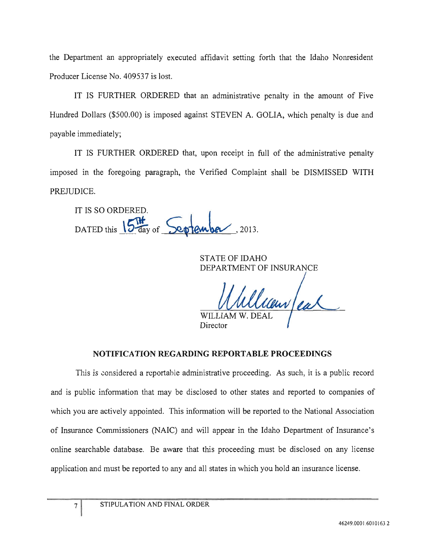the Department an appropriately executed affidavit setting forth that the Idaho Nonresident Producer License No. 409537 is lost.

IT IS FURTHER ORDERED that an administrative penalty in the amount of Five Hundred Dollars (\$500.00) is imposed against STEVEN A. GOLIA, which penalty is due and payable immediately;

IT IS FURTHER ORDERED that, upon receipt in full of the administrative penalty imposed in the foregoing paragraph, the Verified Complaint shall be DISMISSED WITH PREJUDICE.

IT IS SO ORDERED. DATEDthis \~ Of ~k~ ,2013.

STATE OF IDAHO DEPARTMENT OF INSURANCE

**WILLIA** 

Director

#### **NOTIFICATION REGARDING REPORTABLE PROCEEDINGS**

This is considered a reportable administrative proceeding. As such, it is a public record and is public information that may be disclosed to other states and reported to companies of which you are actively appointed. This information will be reported to the National Association of Insurance Commissioners (NAIC) and will appear in the Idaho Department of Insurance's online searchable database. Be aware that this proceeding must be disclosed on any license application and must be reported to any and all states in which you hold an insurance license.

 $\overline{7}$